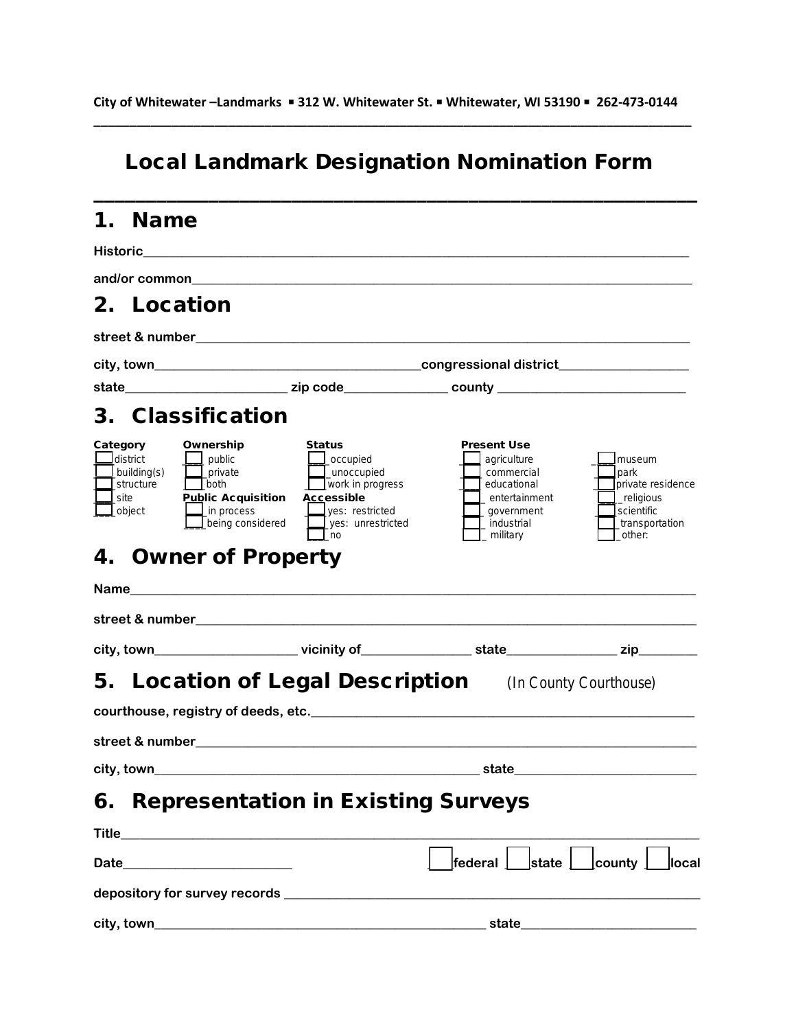### Local Landmark Designation Nomination Form

\_\_\_\_\_\_\_\_\_\_\_\_\_\_\_\_\_\_\_\_\_\_\_\_\_\_\_\_\_\_\_\_\_\_\_\_\_\_\_\_\_\_\_\_\_\_\_\_\_\_\_\_\_\_\_\_\_\_

#### 1. Name

|          |                                                                  | Historic <u>___________________</u>                                                                                         |                                                                                                                                                        |                                                                                                                         |                                                                                                     |  |  |  |
|----------|------------------------------------------------------------------|-----------------------------------------------------------------------------------------------------------------------------|--------------------------------------------------------------------------------------------------------------------------------------------------------|-------------------------------------------------------------------------------------------------------------------------|-----------------------------------------------------------------------------------------------------|--|--|--|
|          |                                                                  |                                                                                                                             |                                                                                                                                                        |                                                                                                                         |                                                                                                     |  |  |  |
|          |                                                                  | 2. Location                                                                                                                 |                                                                                                                                                        |                                                                                                                         |                                                                                                     |  |  |  |
|          |                                                                  |                                                                                                                             |                                                                                                                                                        |                                                                                                                         |                                                                                                     |  |  |  |
|          |                                                                  |                                                                                                                             |                                                                                                                                                        |                                                                                                                         |                                                                                                     |  |  |  |
|          |                                                                  |                                                                                                                             |                                                                                                                                                        |                                                                                                                         |                                                                                                     |  |  |  |
|          |                                                                  | 3. Classification                                                                                                           |                                                                                                                                                        |                                                                                                                         |                                                                                                     |  |  |  |
| Category | <u>I</u> district<br>building(s)<br>structure<br>site<br>_object | Ownership<br>$\mathsf{\mathsf{I}}$ public<br>private<br>both<br><b>Public Acquisition</b><br>in process<br>being considered | Status<br>_occupied<br>_unoccupied<br>$\mathbf{\underline{\perp}}$ work in progress<br><b>Accessible</b><br>ves: restricted<br>yes: unrestricted<br>no | <b>Present Use</b><br>agriculture<br>commercial<br>educational<br>entertainment<br>government<br>industrial<br>military | museum<br>park<br>private residence<br>religious<br>scientific<br>_transportation<br>other:         |  |  |  |
| 4.       |                                                                  | <b>Owner of Property</b>                                                                                                    |                                                                                                                                                        |                                                                                                                         |                                                                                                     |  |  |  |
|          |                                                                  |                                                                                                                             |                                                                                                                                                        |                                                                                                                         |                                                                                                     |  |  |  |
|          |                                                                  |                                                                                                                             |                                                                                                                                                        |                                                                                                                         |                                                                                                     |  |  |  |
|          |                                                                  |                                                                                                                             |                                                                                                                                                        |                                                                                                                         | city, town_________________________vicinity of_______________state___________________zip___________ |  |  |  |
|          | <b>5. Location of Legal Description</b> (In County Courthouse)   |                                                                                                                             |                                                                                                                                                        |                                                                                                                         |                                                                                                     |  |  |  |
|          |                                                                  |                                                                                                                             |                                                                                                                                                        |                                                                                                                         |                                                                                                     |  |  |  |
|          |                                                                  |                                                                                                                             |                                                                                                                                                        |                                                                                                                         |                                                                                                     |  |  |  |
|          |                                                                  |                                                                                                                             |                                                                                                                                                        |                                                                                                                         |                                                                                                     |  |  |  |
| 6.       |                                                                  |                                                                                                                             | <b>Representation in Existing Surveys</b>                                                                                                              |                                                                                                                         |                                                                                                     |  |  |  |
|          |                                                                  |                                                                                                                             |                                                                                                                                                        |                                                                                                                         |                                                                                                     |  |  |  |
|          |                                                                  | Date_________________________                                                                                               |                                                                                                                                                        | $\,$  federal $\,\bigsqcup\,$ state $\,\bigsqcup\,$                                                                     | $\perp$ county $\perp$<br>llocal                                                                    |  |  |  |
|          |                                                                  |                                                                                                                             |                                                                                                                                                        |                                                                                                                         |                                                                                                     |  |  |  |
|          |                                                                  |                                                                                                                             |                                                                                                                                                        |                                                                                                                         |                                                                                                     |  |  |  |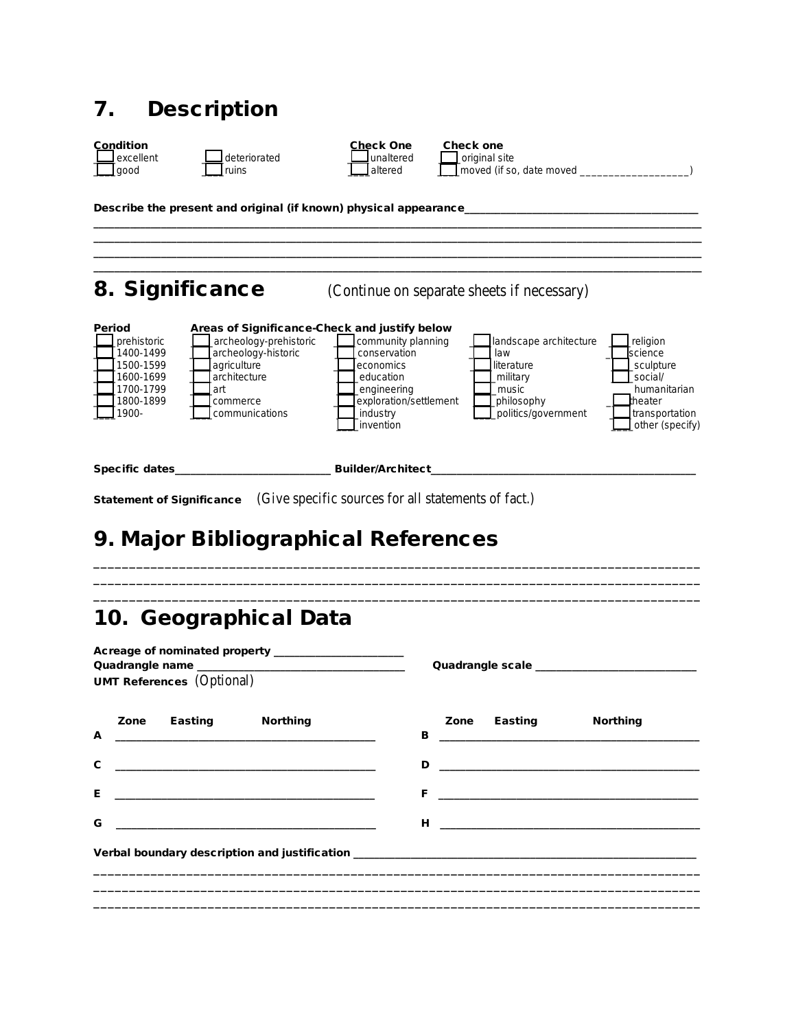#### 7. Description



\_\_\_\_\_\_\_\_\_\_\_\_\_\_\_\_\_\_\_\_\_\_\_\_\_\_\_\_\_\_\_\_\_\_\_\_\_\_\_\_\_\_\_\_\_\_\_\_\_\_\_\_\_\_\_\_\_\_\_\_\_\_\_\_\_\_\_\_\_\_\_\_\_\_\_\_\_\_\_\_\_\_\_\_\_\_\_\_\_\_\_\_\_\_\_\_\_\_\_\_\_\_\_\_\_\_\_\_\_\_\_\_\_\_\_\_\_ \_\_\_\_\_\_\_\_\_\_\_\_\_\_\_\_\_\_\_\_\_\_\_\_\_\_\_\_\_\_\_\_\_\_\_\_\_\_\_\_\_\_\_\_\_\_\_\_\_\_\_\_\_\_\_\_\_\_\_\_\_\_\_\_\_\_\_\_\_\_\_\_\_\_\_\_\_\_\_\_\_\_\_\_\_\_\_\_\_\_\_\_\_\_\_\_\_\_\_\_\_\_\_\_\_\_\_\_\_\_\_\_\_\_\_\_\_ \_\_\_\_\_\_\_\_\_\_\_\_\_\_\_\_\_\_\_\_\_\_\_\_\_\_\_\_\_\_\_\_\_\_\_\_\_\_\_\_\_\_\_\_\_\_\_\_\_\_\_\_\_\_\_\_\_\_\_\_\_\_\_\_\_\_\_\_\_\_\_\_\_\_\_\_\_\_\_\_\_\_\_\_\_\_\_\_\_\_\_\_\_\_\_\_\_\_\_\_\_\_\_\_\_\_\_\_\_\_\_\_\_\_\_\_\_ \_\_\_\_\_\_\_\_\_\_\_\_\_\_\_\_\_\_\_\_\_\_\_\_\_\_\_\_\_\_\_\_\_\_\_\_\_\_\_\_\_\_\_\_\_\_\_\_\_\_\_\_\_\_\_\_\_\_\_\_\_\_\_\_\_\_\_\_\_\_\_\_\_\_\_\_\_\_\_\_\_\_\_\_\_\_\_\_\_\_\_\_\_\_\_\_\_\_\_\_\_\_\_\_\_\_\_\_\_\_\_\_\_\_\_\_\_

 $\Box$  moved (if so, date moved  $\Box$ 

Describe the present and original (if known) physical appearance\_

### 8. Significance (Continue on separate sheets if necessary)

| Period<br>prehistoric<br>1400-1499<br>1500-1599<br>1600-1699<br>1700-1799<br>1800-1899 | Areas of Significance-Check and justify below<br>archeology-prehistoric<br>archeology-historic<br>agriculture<br>architecture<br>art<br>commerce | community planning<br>conservation<br>leconomics<br>education<br>engineering<br>lexploration/settlement | landscape architecture<br>law<br><b>I</b> literature<br>military<br>music<br>philosophy | religion<br><b>Iscience</b><br>sculpture<br>social/<br>humanitarian<br>theater |
|----------------------------------------------------------------------------------------|--------------------------------------------------------------------------------------------------------------------------------------------------|---------------------------------------------------------------------------------------------------------|-----------------------------------------------------------------------------------------|--------------------------------------------------------------------------------|
| 1900-<br>Specific dates                                                                | communications                                                                                                                                   | industry<br>invention<br><b>Builder/Architect</b>                                                       | politics/government                                                                     | transportation<br>_other (specify)                                             |

\_\_\_\_\_\_\_\_\_\_\_\_\_\_\_\_\_\_\_\_\_\_\_\_\_\_\_\_\_\_\_\_\_\_\_\_\_\_\_\_\_\_\_\_\_\_\_\_\_\_\_\_\_\_\_\_\_\_\_\_\_\_\_\_\_\_\_\_\_\_\_\_\_\_\_\_\_\_\_\_\_\_\_\_\_ \_\_\_\_\_\_\_\_\_\_\_\_\_\_\_\_\_\_\_\_\_\_\_\_\_\_\_\_\_\_\_\_\_\_\_\_\_\_\_\_\_\_\_\_\_\_\_\_\_\_\_\_\_\_\_\_\_\_\_\_\_\_\_\_\_\_\_\_\_\_\_\_\_\_\_\_\_\_\_\_\_\_\_\_\_ \_\_\_\_\_\_\_\_\_\_\_\_\_\_\_\_\_\_\_\_\_\_\_\_\_\_\_\_\_\_\_\_\_\_\_\_\_\_\_\_\_\_\_\_\_\_\_\_\_\_\_\_\_\_\_\_\_\_\_\_\_\_\_\_\_\_\_\_\_\_\_\_\_\_\_\_\_\_\_\_\_\_\_\_\_

Statement of Significance (Give specific sources for all statements of fact.)

# 9. Major Bibliographical References

## 10. Geographical Data

| Acreage of nominated property _____________________<br><b>UMT References</b> (Optional)                                                           |                                                                                                                             |  |  |
|---------------------------------------------------------------------------------------------------------------------------------------------------|-----------------------------------------------------------------------------------------------------------------------------|--|--|
| Zone Easting Northing<br>A<br><u> 1990 - Johann Barbara, martxa eta inperiodo eta mondo eta mondo eta mondo eta mondo eta mondo eta mondo eta</u> | Zone Easting<br><b>Northing</b>                                                                                             |  |  |
| $\mathbf{C}$                                                                                                                                      |                                                                                                                             |  |  |
| Е<br><u> 1989 - Johann Harry Harry Harry Harry Harry Harry Harry Harry Harry Harry Harry Harry Harry Harry Harry Harry</u>                        | F.<br><u> 1999 - Johann Harry Harry Harry Harry Harry Harry Harry Harry Harry Harry Harry Harry Harry Harry Harry Harry</u> |  |  |
| G<br><u> 1989 - Johann Stein, skriuwer en fan it ferskearre fan it ferskearre fan it ferskearre fan it ferskearre fan</u>                         | H and the state of the state of the state of the state of the state of the state of the                                     |  |  |
|                                                                                                                                                   | Verbal boundary description and justification __________________________________                                            |  |  |
|                                                                                                                                                   |                                                                                                                             |  |  |